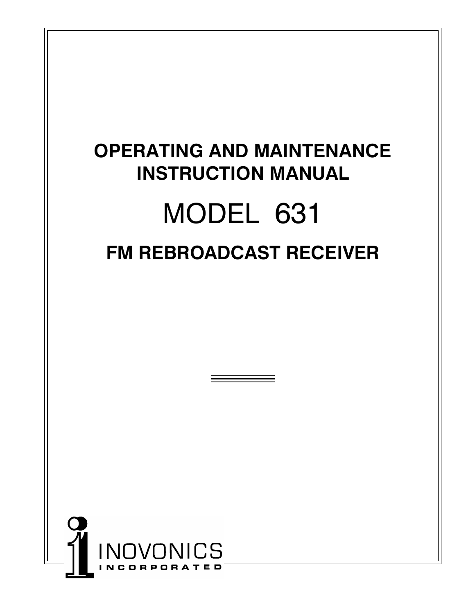# **OPERATING AND MAINTENANCE INSTRUCTION MANUAL**  MODEL 631 **FM REBROADCAST RECEIVER**

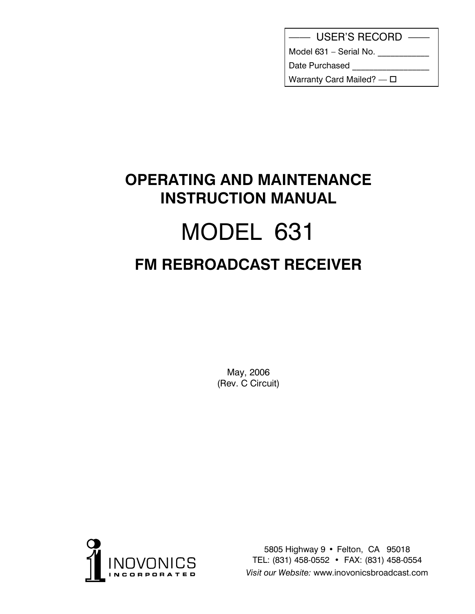|  | <b>USER'S RECORD</b> |
|--|----------------------|
|--|----------------------|

Model 631 - Serial No. \_\_\_\_\_\_\_\_\_\_\_

Date Purchased

Warranty Card Mailed? -  $\square$ 

## **OPERATING AND MAINTENANCE INSTRUCTION MANUAL**  MODEL 631 **FM REBROADCAST RECEIVER**

May, 2006 (Rev. C Circuit)



5805 Highway 9 • Felton, CA 95018 TEL: (831) 458-0552 • FAX: (831) 458-0554 *Visit our Website:* www.inovonicsbroadcast.com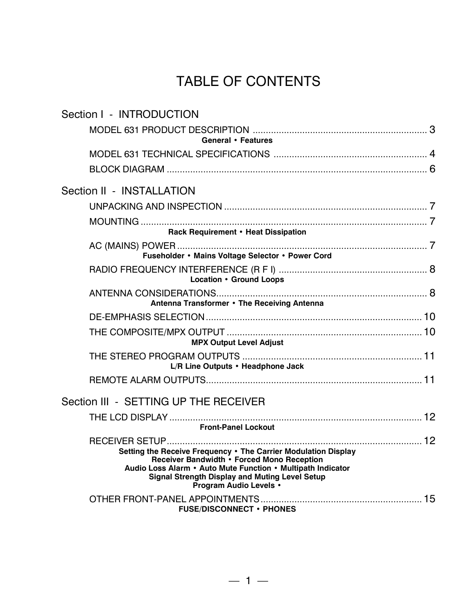## TABLE OF CONTENTS

| Section I - INTRODUCTION                                                                                                                                                                                                                                       |
|----------------------------------------------------------------------------------------------------------------------------------------------------------------------------------------------------------------------------------------------------------------|
| General • Features                                                                                                                                                                                                                                             |
|                                                                                                                                                                                                                                                                |
|                                                                                                                                                                                                                                                                |
| Section II - INSTALLATION                                                                                                                                                                                                                                      |
|                                                                                                                                                                                                                                                                |
| Rack Requirement • Heat Dissipation                                                                                                                                                                                                                            |
| Fuseholder • Mains Voltage Selector • Power Cord                                                                                                                                                                                                               |
| Location • Ground Loops                                                                                                                                                                                                                                        |
| Antenna Transformer • The Receiving Antenna                                                                                                                                                                                                                    |
|                                                                                                                                                                                                                                                                |
| <b>MPX Output Level Adjust</b>                                                                                                                                                                                                                                 |
| L/R Line Outputs • Headphone Jack                                                                                                                                                                                                                              |
|                                                                                                                                                                                                                                                                |
| Section III - SETTING UP THE RECEIVER                                                                                                                                                                                                                          |
| <b>Front-Panel Lockout</b>                                                                                                                                                                                                                                     |
| Setting the Receive Frequency . The Carrier Modulation Display<br>Receiver Bandwidth . Forced Mono Reception<br>Audio Loss Alarm • Auto Mute Function • Multipath Indicator<br><b>Signal Strength Display and Muting Level Setup</b><br>Program Audio Levels . |
| <b>FUSE/DISCONNECT • PHONES</b>                                                                                                                                                                                                                                |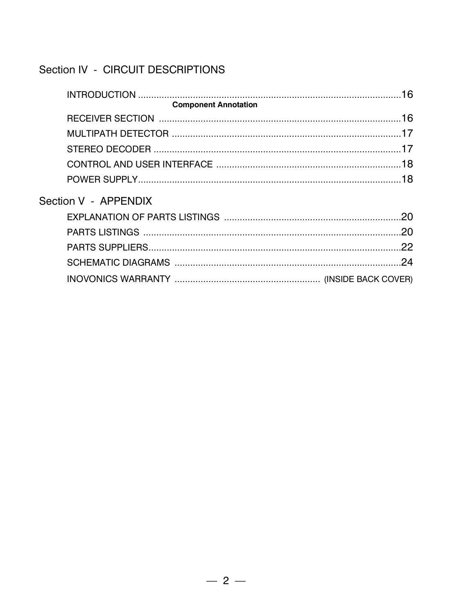### Section IV - CIRCUIT DESCRIPTIONS

|                             | 16  |
|-----------------------------|-----|
| <b>Component Annotation</b> |     |
|                             |     |
|                             |     |
|                             |     |
|                             |     |
|                             |     |
| Section V - APPENDIX        |     |
|                             | .20 |
|                             |     |
|                             | 22  |
|                             | 24  |
|                             |     |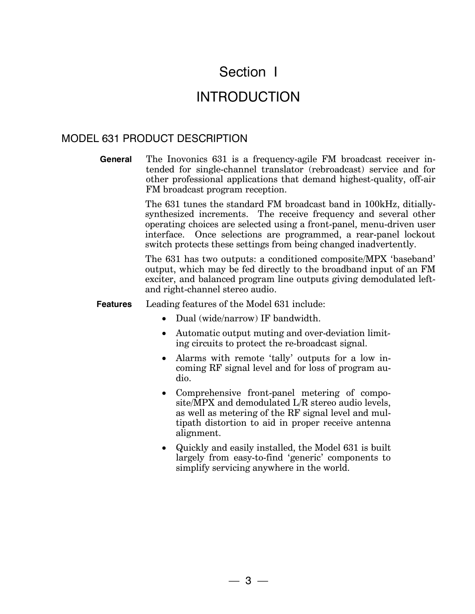## Section I

## INTRODUCTION

#### MODEL 631 PRODUCT DESCRIPTION

**General** The Inovonics 631 is a frequency-agile FM broadcast receiver intended for single-channel translator (rebroadcast) service and for other professional applications that demand highest-quality, off-air FM broadcast program reception.

> The 631 tunes the standard FM broadcast band in 100kHz, ditiallysynthesized increments. The receive frequency and several other operating choices are selected using a front-panel, menu-driven user interface. Once selections are programmed, a rear-panel lockout switch protects these settings from being changed inadvertently.

> The 631 has two outputs: a conditioned composite/MPX 'baseband' output, which may be fed directly to the broadband input of an FM exciter, and balanced program line outputs giving demodulated leftand right-channel stereo audio.

#### **Features** Leading features of the Model 631 include:

- Dual (wide/narrow) IF bandwidth.
- Automatic output muting and over-deviation limiting circuits to protect the re-broadcast signal.
- Alarms with remote 'tally' outputs for a low incoming RF signal level and for loss of program audio.
- Comprehensive front-panel metering of composite/MPX and demodulated L/R stereo audio levels, as well as metering of the RF signal level and multipath distortion to aid in proper receive antenna alignment.
- x Quickly and easily installed, the Model 631 is built largely from easy-to-find 'generic' components to simplify servicing anywhere in the world.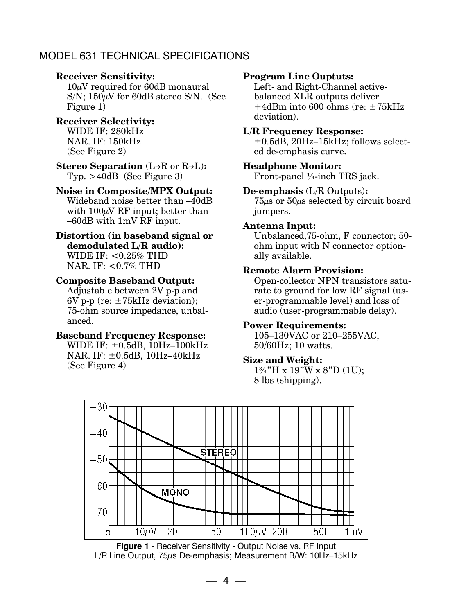#### MODEL 631 TECHNICAL SPECIFICATIONS

#### **Receiver Sensitivity:**

 $10\mu$ V required for 60dB monaural  $S/N$ ; 150 $\mu$ V for 60dB stereo S/N. (See Figure 1)

#### **Receiver Selectivity:** WIDE IF: 280kHz NAR. IF: 150kHz (See Figure 2)

**Stereo Separation** (L $\rightarrow$ R or R $\rightarrow$ L): Typ. >40dB (See Figure 3)

#### **Noise in Composite/MPX Output:**

Wideband noise better than –40dB with  $100\mu$ V RF input; better than –60dB with 1mV RF input.

#### **Distortion (in baseband signal or demodulated L/R audio):** WIDE IF:  $< 0.25\%$  THD NAR. IF: <0.7% THD

#### **Composite Baseband Output:**

Adjustable between 2V p-p and 6V p-p (re:  $\pm 75$ kHz deviation); 75-ohm source impedance, unbalanced.

#### **Baseband Frequency Response:**

WIDE IF:  $\pm$ 0.5dB, 10Hz-100kHz NAR. IF: ±0.5dB, 10Hz–40kHz (See Figure 4)

#### **Program Line Ouptuts:**

Left- and Right-Channel activebalanced XLR outputs deliver +4dBm into 600 ohms (re: ±75kHz deviation).

#### **L/R Frequency Response:**

±0.5dB, 20Hz–15kHz; follows selected de-emphasis curve.

#### **Headphone Monitor:**

Front-panel ¼-inch TRS jack.

#### **De-emphasis** (L/R Outputs)**:**

75µs or 50µs selected by circuit board jumpers.

#### **Antenna Input:**

Unbalanced,75-ohm, F connector; 50 ohm input with N connector optionally available.

#### **Remote Alarm Provision:**

Open-collector NPN transistors saturate to ground for low RF signal (user-programmable level) and loss of audio (user-programmable delay).

#### **Power Requirements:**

 $105-130\overline{V}AC$  or  $210-255\overline{V}AC$ , 50/60Hz; 10 watts.

#### **Size and Weight:**

1¾"H x 19"W x 8"D (1U); 8 lbs (shipping).



**Figure 1** - Receiver Sensitivity - Output Noise vs. RF Input L/R Line Output, 75µs De-emphasis; Measurement B/W: 10Hz–15kHz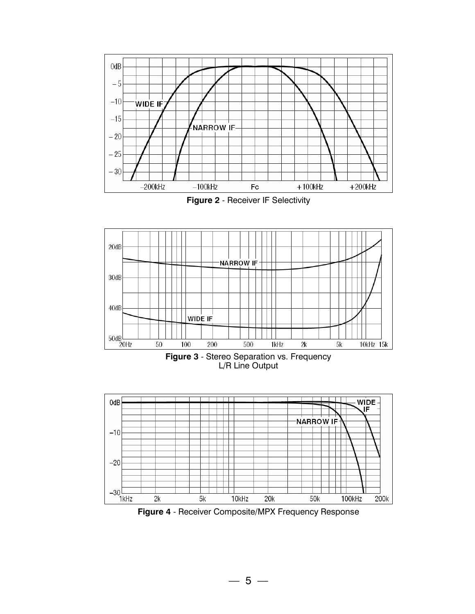

Figure 2 - Receiver IF Selectivity



 $-30$ <br>1kHz  $2<sub>k</sub>$  $5k$ 10kHz  $20k$ **50k** 100kHz 200k Figure 4 - Receiver Composite/MPX Frequency Response

 $-5-$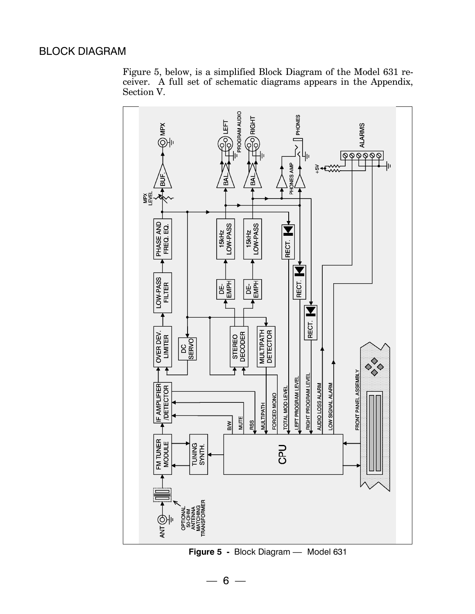#### BLOCK DIAGRAM

Figure 5, below, is a simplified Block Diagram of the Model 631 receiver. A full set of schematic diagrams appears in the Appendix, Section V.



**Figure 5 -** Block Diagram — Model 631

 $-6-$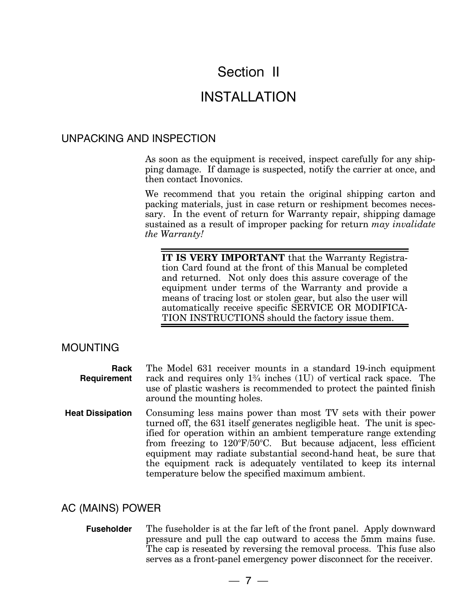## Section II

### INSTALLATION

#### UNPACKING AND INSPECTION

As soon as the equipment is received, inspect carefully for any shipping damage. If damage is suspected, notify the carrier at once, and then contact Inovonics.

We recommend that you retain the original shipping carton and packing materials, just in case return or reshipment becomes necessary. In the event of return for Warranty repair, shipping damage sustained as a result of improper packing for return *may invalidate the Warranty!* 

**IT IS VERY IMPORTANT** that the Warranty Registration Card found at the front of this Manual be completed and returned. Not only does this assure coverage of the equipment under terms of the Warranty and provide a means of tracing lost or stolen gear, but also the user will automatically receive specific SERVICE OR MODIFICA-TION INSTRUCTIONS should the factory issue them.

#### MOUNTING

| Rack<br>Requirement     | The Model 631 receiver mounts in a standard 19-inch equipment<br>rack and requires only $1\frac{3}{4}$ inches (1U) of vertical rack space. The<br>use of plastic washers is recommended to protect the painted finish<br>around the mounting holes.                                                                                                                                                                                                                                             |
|-------------------------|-------------------------------------------------------------------------------------------------------------------------------------------------------------------------------------------------------------------------------------------------------------------------------------------------------------------------------------------------------------------------------------------------------------------------------------------------------------------------------------------------|
| <b>Heat Dissipation</b> | Consuming less mains power than most TV sets with their power<br>turned off, the 631 itself generates negligible heat. The unit is spec-<br>ified for operation within an ambient temperature range extending<br>from freezing to $120^{\circ}F/50^{\circ}C$ . But because adjacent, less efficient<br>equipment may radiate substantial second-hand heat, be sure that<br>the equipment rack is adequately ventilated to keep its internal<br>temperature below the specified maximum ambient. |

#### AC (MAINS) POWER

**Fuseholder** The fuseholder is at the far left of the front panel. Apply downward pressure and pull the cap outward to access the 5mm mains fuse. The cap is reseated by reversing the removal process. This fuse also serves as a front-panel emergency power disconnect for the receiver.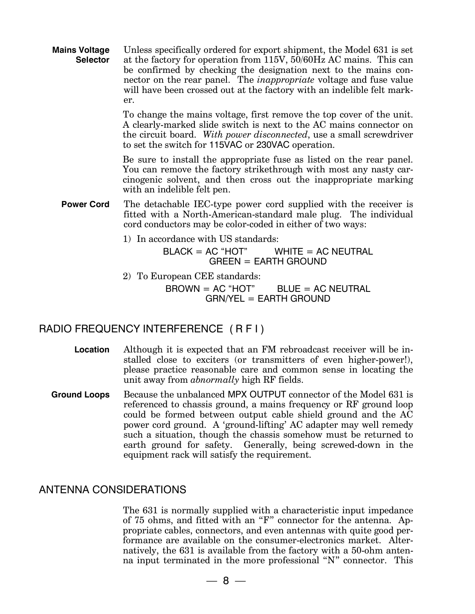**Mains Voltage Selector**  Unless specifically ordered for export shipment, the Model 631 is set at the factory for operation from 115V, 50/60Hz AC mains. This can be confirmed by checking the designation next to the mains connector on the rear panel. The *inappropriate* voltage and fuse value will have been crossed out at the factory with an indelible felt marker.

> To change the mains voltage, first remove the top cover of the unit. A clearly-marked slide switch is next to the AC mains connector on the circuit board. *With power disconnected*, use a small screwdriver to set the switch for 115VAC or 230VAC operation.

> Be sure to install the appropriate fuse as listed on the rear panel. You can remove the factory strikethrough with most any nasty carcinogenic solvent, and then cross out the inappropriate marking with an indelible felt pen.

- **Power Cord** The detachable IEC-type power cord supplied with the receiver is fitted with a North-American-standard male plug. The individual cord conductors may be color-coded in either of two ways:
	- 1) In accordance with US standards:

 $BLACK = AC "HOT"$  WHITE = AC NEUTRAL GREEN = EARTH GROUND

2) To European CEE standards:

 $BROWN = AC "HOT"$  BLUE = AC NEUTRAL GRN/YEL = EARTH GROUND

#### RADIO FREQUENCY INTERFERENCE ( R F I )

- **Location** Although it is expected that an FM rebroadcast receiver will be installed close to exciters (or transmitters of even higher-power!), please practice reasonable care and common sense in locating the unit away from *abnormally* high RF fields.
- **Ground Loops** Because the unbalanced MPX OUTPUT connector of the Model 631 is referenced to chassis ground, a mains frequency or RF ground loop could be formed between output cable shield ground and the AC power cord ground. A 'ground-lifting' AC adapter may well remedy such a situation, though the chassis somehow must be returned to earth ground for safety. Generally, being screwed-down in the equipment rack will satisfy the requirement.

#### ANTENNA CONSIDERATIONS

The 631 is normally supplied with a characteristic input impedance of 75 ohms, and fitted with an "F" connector for the antenna. Appropriate cables, connectors, and even antennas with quite good performance are available on the consumer-electronics market. Alternatively, the 631 is available from the factory with a 50-ohm antenna input terminated in the more professional "N" connector. This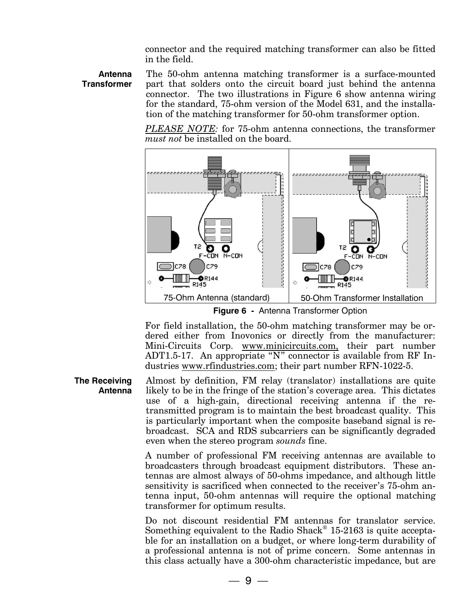connector and the required matching transformer can also be fitted in the field.

**Antenna Transformer**  The 50-ohm antenna matching transformer is a surface-mounted part that solders onto the circuit board just behind the antenna connector. The two illustrations in Figure 6 show antenna wiring for the standard, 75-ohm version of the Model 631, and the installation of the matching transformer for 50-ohm transformer option.

*PLEASE NOTE:* for 75-ohm antenna connections, the transformer *must not* be installed on the board.



**Figure 6 -** Antenna Transformer Option

For field installation, the 50-ohm matching transformer may be ordered either from Inovonics or directly from the manufacturer: Mini-Circuits Corp. www.minicircuits.com, their part number ADT1.5-17. An appropriate "N" connector is available from RF Industries www.rfindustries.com; their part number RFN-1022-5.

**The Receiving Antenna**  Almost by definition, FM relay (translator) installations are quite likely to be in the fringe of the station's coverage area. This dictates use of a high-gain, directional receiving antenna if the retransmitted program is to maintain the best broadcast quality. This is particularly important when the composite baseband signal is rebroadcast. SCA and RDS subcarriers can be significantly degraded even when the stereo program *sounds* fine.

> A number of professional FM receiving antennas are available to broadcasters through broadcast equipment distributors. These antennas are almost always of 50-ohms impedance, and although little sensitivity is sacrificed when connected to the receiver's 75-ohm antenna input, 50-ohm antennas will require the optional matching transformer for optimum results.

> Do not discount residential FM antennas for translator service. Something equivalent to the Radio Shack® 15-2163 is quite acceptable for an installation on a budget, or where long-term durability of a professional antenna is not of prime concern. Some antennas in this class actually have a 300-ohm characteristic impedance, but are

> > $-9-$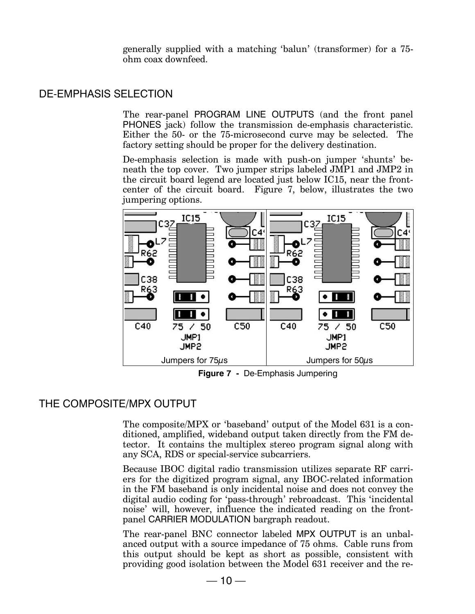generally supplied with a matching 'balun' (transformer) for a 75 ohm coax downfeed.

#### DE-EMPHASIS SELECTION

The rear-panel PROGRAM LINE OUTPUTS (and the front panel PHONES jack) follow the transmission de-emphasis characteristic. Either the 50- or the 75-microsecond curve may be selected. The factory setting should be proper for the delivery destination.

De-emphasis selection is made with push-on jumper 'shunts' beneath the top cover. Two jumper strips labeled JMP1 and JMP2 in the circuit board legend are located just below IC15, near the frontcenter of the circuit board. Figure 7, below, illustrates the two jumpering options.



**Figure 7 -** De-Emphasis Jumpering

#### THE COMPOSITE/MPX OUTPUT

The composite/MPX or 'baseband' output of the Model 631 is a conditioned, amplified, wideband output taken directly from the FM detector. It contains the multiplex stereo program signal along with any SCA, RDS or special-service subcarriers.

Because IBOC digital radio transmission utilizes separate RF carriers for the digitized program signal, any IBOC-related information in the FM baseband is only incidental noise and does not convey the digital audio coding for 'pass-through' rebroadcast. This 'incidental noise' will, however, influence the indicated reading on the frontpanel CARRIER MODULATION bargraph readout.

The rear-panel BNC connector labeled MPX OUTPUT is an unbalanced output with a source impedance of 75 ohms. Cable runs from this output should be kept as short as possible, consistent with providing good isolation between the Model 631 receiver and the re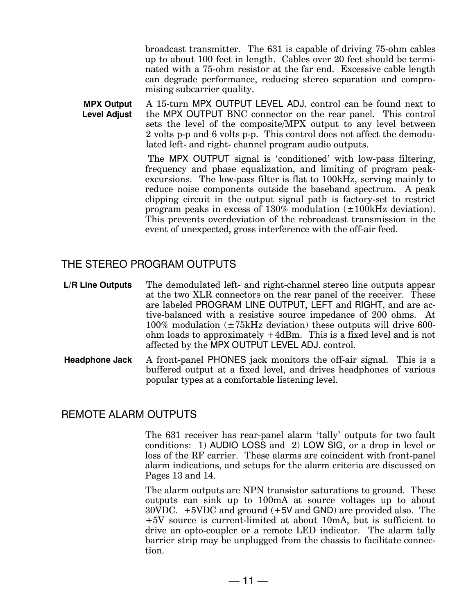broadcast transmitter. The 631 is capable of driving 75-ohm cables up to about 100 feet in length. Cables over 20 feet should be terminated with a 75-ohm resistor at the far end. Excessive cable length can degrade performance, reducing stereo separation and compromising subcarrier quality.

**MPX Output Level Adjust**  A 15-turn MPX OUTPUT LEVEL ADJ. control can be found next to the MPX OUTPUT BNC connector on the rear panel. This control sets the level of the composite/MPX output to any level between 2 volts p-p and 6 volts p-p. This control does not affect the demodulated left- and right- channel program audio outputs.

> The MPX OUTPUT signal is 'conditioned' with low-pass filtering, frequency and phase equalization, and limiting of program peakexcursions. The low-pass filter is flat to 100kHz, serving mainly to reduce noise components outside the baseband spectrum. A peak clipping circuit in the output signal path is factory-set to restrict program peaks in excess of  $130\%$  modulation  $(\pm 100$ kHz deviation). This prevents overdeviation of the rebroadcast transmission in the event of unexpected, gross interference with the off-air feed.

#### THE STEREO PROGRAM OUTPUTS

**L/R Line Outputs** The demodulated left- and right-channel stereo line outputs appear at the two XLR connectors on the rear panel of the receiver. These are labeled PROGRAM LINE OUTPUT, LEFT and RIGHT, and are active-balanced with a resistive source impedance of 200 ohms. At  $100\%$  modulation  $(\pm 75$ kHz deviation) these outputs will drive 600ohm loads to approximately +4dBm. This is a fixed level and is not affected by the MPX OUTPUT LEVEL ADJ. control.

**Headphone Jack** A front-panel PHONES jack monitors the off-air signal. This is a buffered output at a fixed level, and drives headphones of various popular types at a comfortable listening level.

#### REMOTE ALARM OUTPUTS

The 631 receiver has rear-panel alarm 'tally' outputs for two fault conditions: 1) AUDIO LOSS and 2) LOW SIG, or a drop in level or loss of the RF carrier. These alarms are coincident with front-panel alarm indications, and setups for the alarm criteria are discussed on Pages 13 and 14.

The alarm outputs are NPN transistor saturations to ground. These outputs can sink up to 100mA at source voltages up to about 30VDC. +5VDC and ground (+5V and GND) are provided also. The +5V source is current-limited at about 10mA, but is sufficient to drive an opto-coupler or a remote LED indicator. The alarm tally barrier strip may be unplugged from the chassis to facilitate connection.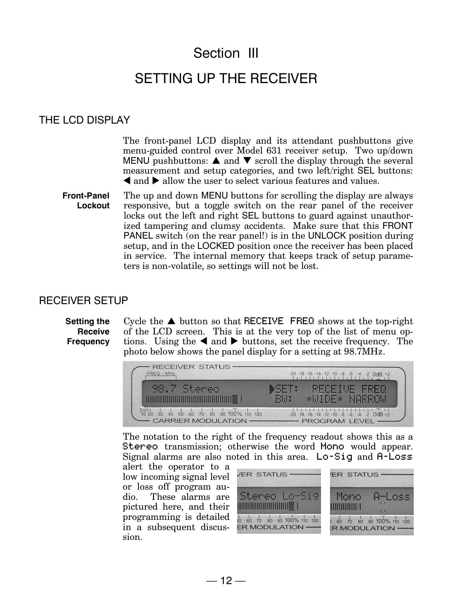## Section III

### SETTING UP THE RECEIVER

#### THE LCD DISPLAY

The front-panel LCD display and its attendant pushbuttons give menu-guided control over Model 631 receiver setup. Two up/down MENU pushbuttons:  $\triangle$  and  $\nabla$  scroll the display through the several measurement and setup categories, and two left/right SEL buttons:  $\triangleleft$  and  $\triangleright$  allow the user to select various features and values.

**Front-Panel Lockout**  The up and down MENU buttons for scrolling the display are always responsive, but a toggle switch on the rear panel of the receiver locks out the left and right SEL buttons to guard against unauthorized tampering and clumsy accidents. Make sure that this FRONT PANEL switch (on the rear panel!) is in the UNLOCK position during setup, and in the LOCKED position once the receiver has been placed in service. The internal memory that keeps track of setup parameters is non-volatile, so settings will not be lost.

#### RECEIVER SETUP

**Setting the Receive Frequency**  Cycle the  $\triangle$  button so that RECEIVE FREQ shows at the top-right of the LCD screen. This is at the very top of the list of menu options. Using the  $\triangleleft$  and  $\triangleright$  buttons, set the receive frequency. The photo below shows the panel display for a setting at 98.7MHz.



The notation to the right of the frequency readout shows this as a Stereo transmission; otherwise the word Mono would appear. Signal alarms are also noted in this area. Lo-Sig and A-Loss

alert the operator to a low incoming signal level or loss off program audio. These alarms are pictured here, and their programming is detailed in a subsequent discussion.

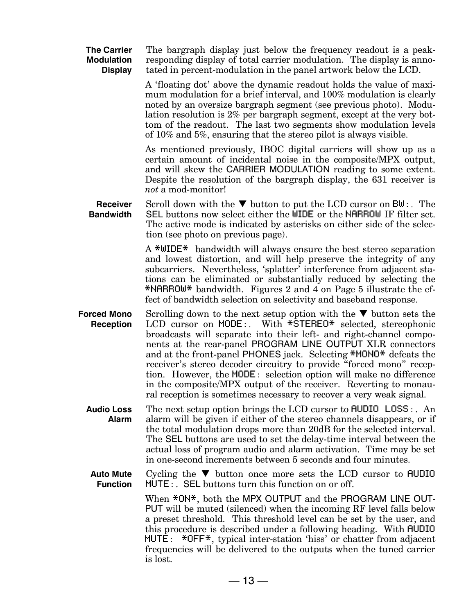**The Carrier Modulation Display**  The bargraph display just below the frequency readout is a peakresponding display of total carrier modulation. The display is annotated in percent-modulation in the panel artwork below the LCD.

> A 'floating dot' above the dynamic readout holds the value of maximum modulation for a brief interval, and 100% modulation is clearly noted by an oversize bargraph segment (see previous photo). Modulation resolution is 2% per bargraph segment, except at the very bottom of the readout. The last two segments show modulation levels of 10% and 5%, ensuring that the stereo pilot is always visible.

> As mentioned previously, IBOC digital carriers will show up as a certain amount of incidental noise in the composite/MPX output, and will skew the CARRIER MODULATION reading to some extent. Despite the resolution of the bargraph display, the 631 receiver is *not* a mod-monitor!

**Receiver Bandwidth**  Scroll down with the  $\nabla$  button to put the LCD cursor on  $\text{Bul}:$ . The SEL buttons now select either the WIDE or the NARROW IF filter set. The active mode is indicated by asterisks on either side of the selection (see photo on previous page).

> A \*WIDE\* bandwidth will always ensure the best stereo separation and lowest distortion, and will help preserve the integrity of any subcarriers. Nevertheless, 'splatter' interference from adjacent stations can be eliminated or substantially reduced by selecting the \*NARROW\* bandwidth. Figures 2 and 4 on Page 5 illustrate the effect of bandwidth selection on selectivity and baseband response.

**Forced Mono Reception**  Scrolling down to the next setup option with the  $\nabla$  button sets the LCD cursor on MODE: With \*STEREO\* selected, stereophonic broadcasts will separate into their left- and right-channel components at the rear-panel PROGRAM LINE OUTPUT XLR connectors and at the front-panel PHONES jack. Selecting \*MONO\* defeats the receiver's stereo decoder circuitry to provide "forced mono" reception. However, the MODE: selection option will make no difference in the composite/MPX output of the receiver. Reverting to monaural reception is sometimes necessary to recover a very weak signal.

**Audio Loss Alarm**  The next setup option brings the LCD cursor to AUDIO LOSS:. An alarm will be given if either of the stereo channels disappears, or if the total modulation drops more than 20dB for the selected interval. The SEL buttons are used to set the delay-time interval between the actual loss of program audio and alarm activation. Time may be set in one-second increments between 5 seconds and four minutes.

**Auto Mute Function**  Cycling the  $\nabla$  button once more sets the LCD cursor to **AUDIO** MUTE:. SEL buttons turn this function on or off.

> When  $*$ <sup>ON\*</sup>, both the MPX OUTPUT and the PROGRAM LINE OUT-PUT will be muted (silenced) when the incoming RF level falls below a preset threshold. This threshold level can be set by the user, and this procedure is described under a following heading. With AUDIO MUTE: \*OFF\*, typical inter-station 'hiss' or chatter from adjacent frequencies will be delivered to the outputs when the tuned carrier is lost.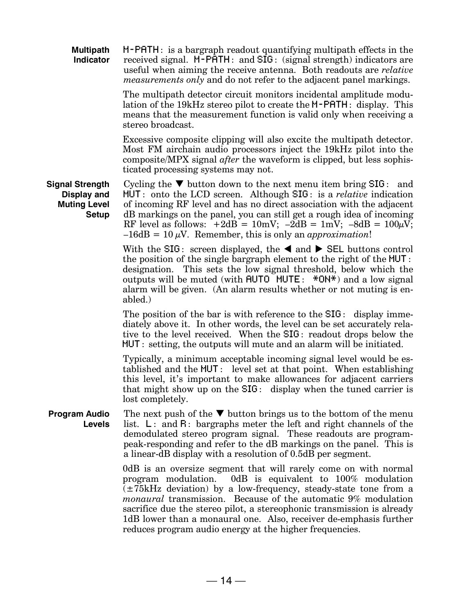| <b>Multipath</b><br><b>Indicator</b>                                         | $M$ -PATH: is a bargraph readout quantifying multipath effects in the<br>received signal. M-PATH: and SIG: (signal strength) indicators are<br>useful when aiming the receive antenna. Both readouts are <i>relative</i><br><i>measurements only</i> and do not refer to the adjacent panel markings.                                                                                                                                                   |
|------------------------------------------------------------------------------|---------------------------------------------------------------------------------------------------------------------------------------------------------------------------------------------------------------------------------------------------------------------------------------------------------------------------------------------------------------------------------------------------------------------------------------------------------|
|                                                                              | The multipath detector circuit monitors incidental amplitude modu-<br>lation of the 19kHz stereo pilot to create the <b>M-PATH</b> : display. This<br>means that the measurement function is valid only when receiving a<br>stereo broadcast.                                                                                                                                                                                                           |
|                                                                              | Excessive composite clipping will also excite the multipath detector.<br>Most FM airchain audio processors inject the 19kHz pilot into the<br>composite/MPX signal after the waveform is clipped, but less sophis-<br>ticated processing systems may not.                                                                                                                                                                                               |
| Signal Strength<br><b>Display and</b><br><b>Muting Level</b><br><b>Setup</b> | Cycling the $\nabla$ button down to the next menu item bring $\text{SIG}:$ and<br>$MUT:$ onto the LCD screen. Although SIG: is a <i>relative</i> indication<br>of incoming RF level and has no direct association with the adjacent<br>dB markings on the panel, you can still get a rough idea of incoming<br>RF level as follows: $+2dB = 10mV$ ; $-2dB = 1mV$ ; $-8dB = 100\mu V$ ;<br>$-16dB = 10 \mu V$ . Remember, this is only an approximation! |
|                                                                              | With the SIG: screen displayed, the $\triangleleft$ and $\triangleright$ SEL buttons control<br>the position of the single bargraph element to the right of the MUT:<br>designation. This sets the low signal threshold, below which the<br>outputs will be muted (with $HUTO$ $HUTE: *ON*$ ) and a low signal<br>alarm will be given. (An alarm results whether or not muting is en-<br>abled.)                                                        |
|                                                                              | The position of the bar is with reference to the $SIG$ : display imme-<br>diately above it. In other words, the level can be set accurately rela-<br>tive to the level received. When the SIG: readout drops below the<br>$MUT:$ setting, the outputs will mute and an alarm will be initiated.                                                                                                                                                         |
|                                                                              | Typically, a minimum acceptable incoming signal level would be es-<br>tablished and the MUT: level set at that point. When establishing<br>this level, it's important to make allowances for adjacent carriers<br>that might show up on the SIG: display when the tuned carrier is<br>lost completely.                                                                                                                                                  |
| <b>Program Audio</b><br><b>Levels</b>                                        | The next push of the $\nabla$ button brings us to the bottom of the menu<br>list. $L:$ and $R:$ bargraphs meter the left and right channels of the<br>demodulated stereo program signal. These readouts are program-<br>peak-responding and refer to the dB markings on the panel. This is<br>a linear-dB display with a resolution of 0.5dB per segment.                                                                                               |
|                                                                              | 0dB is an oversize segment that will rarely come on with normal<br>program modulation.<br>0dB is equivalent to $100\%$ modulation<br>$(\pm 75$ kHz deviation) by a low-frequency, steady-state tone from a<br><i>monaural</i> transmission. Because of the automatic 9% modulation<br>sacrifice due the stereo pilot, a stereophonic transmission is already<br>1dB lower than a monaural one. Also, receiver de-emphasis further                       |

reduces program audio energy at the higher frequencies.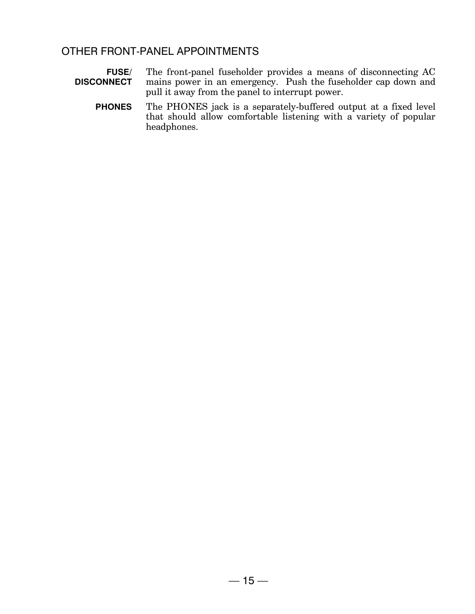#### OTHER FRONT-PANEL APPOINTMENTS

| <b>FUSE/</b>      | The front-panel fuseholder provides a means of disconnecting AC |
|-------------------|-----------------------------------------------------------------|
| <b>DISCONNECT</b> | mains power in an emergency. Push the fuseholder cap down and   |
|                   | pull it away from the panel to interrupt power.                 |

The PHONES jack is a separately-buffered output at a fixed level<br>that should allow comfortable listening with a variety of popular **PHONES** headphones.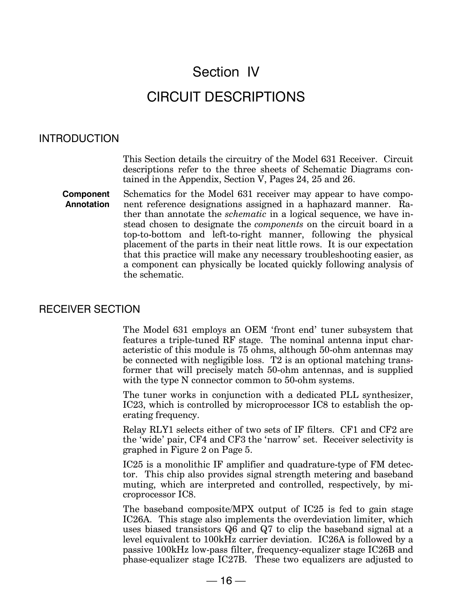## Section IV CIRCUIT DESCRIPTIONS

#### INTRODUCTION

This Section details the circuitry of the Model 631 Receiver. Circuit descriptions refer to the three sheets of Schematic Diagrams contained in the Appendix, Section V, Pages 24, 25 and 26.

**Component Annotation**  Schematics for the Model 631 receiver may appear to have component reference designations assigned in a haphazard manner. Rather than annotate the *schematic* in a logical sequence, we have instead chosen to designate the *components* on the circuit board in a top-to-bottom and left-to-right manner, following the physical placement of the parts in their neat little rows. It is our expectation that this practice will make any necessary troubleshooting easier, as a component can physically be located quickly following analysis of the schematic.

#### RECEIVER SECTION

The Model 631 employs an OEM 'front end' tuner subsystem that features a triple-tuned RF stage. The nominal antenna input characteristic of this module is 75 ohms, although 50-ohm antennas may be connected with negligible loss. T2 is an optional matching transformer that will precisely match 50-ohm antennas, and is supplied with the type N connector common to 50-ohm systems.

The tuner works in conjunction with a dedicated PLL synthesizer, IC23, which is controlled by microprocessor IC8 to establish the operating frequency.

Relay RLY1 selects either of two sets of IF filters. CF1 and CF2 are the 'wide' pair, CF4 and CF3 the 'narrow' set. Receiver selectivity is graphed in Figure 2 on Page 5.

IC25 is a monolithic IF amplifier and quadrature-type of FM detector. This chip also provides signal strength metering and baseband muting, which are interpreted and controlled, respectively, by microprocessor IC8.

The baseband composite/MPX output of IC25 is fed to gain stage IC26A. This stage also implements the overdeviation limiter, which uses biased transistors Q6 and Q7 to clip the baseband signal at a level equivalent to 100kHz carrier deviation. IC26A is followed by a passive 100kHz low-pass filter, frequency-equalizer stage IC26B and phase-equalizer stage IC27B. These two equalizers are adjusted to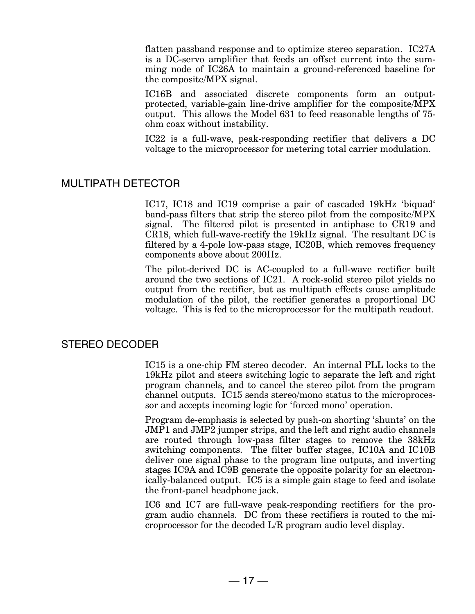flatten passband response and to optimize stereo separation. IC27A is a DC-servo amplifier that feeds an offset current into the summing node of IC26A to maintain a ground-referenced baseline for the composite/MPX signal.

IC16B and associated discrete components form an outputprotected, variable-gain line-drive amplifier for the composite/MPX output. This allows the Model 631 to feed reasonable lengths of 75 ohm coax without instability.

IC22 is a full-wave, peak-responding rectifier that delivers a DC voltage to the microprocessor for metering total carrier modulation.

#### MULTIPATH DETECTOR

IC17, IC18 and IC19 comprise a pair of cascaded 19kHz 'biquad' band-pass filters that strip the stereo pilot from the composite/MPX signal. The filtered pilot is presented in antiphase to CR19 and CR18, which full-wave-rectify the 19kHz signal. The resultant DC is filtered by a 4-pole low-pass stage, IC20B, which removes frequency components above about 200Hz.

The pilot-derived DC is AC-coupled to a full-wave rectifier built around the two sections of IC21. A rock-solid stereo pilot yields no output from the rectifier, but as multipath effects cause amplitude modulation of the pilot, the rectifier generates a proportional DC voltage. This is fed to the microprocessor for the multipath readout.

#### STEREO DECODER

IC15 is a one-chip FM stereo decoder. An internal PLL locks to the 19kHz pilot and steers switching logic to separate the left and right program channels, and to cancel the stereo pilot from the program channel outputs. IC15 sends stereo/mono status to the microprocessor and accepts incoming logic for 'forced mono' operation.

Program de-emphasis is selected by push-on shorting 'shunts' on the JMP1 and JMP2 jumper strips, and the left and right audio channels are routed through low-pass filter stages to remove the 38kHz switching components. The filter buffer stages, IC10A and IC10B deliver one signal phase to the program line outputs, and inverting stages IC9A and IC9B generate the opposite polarity for an electronically-balanced output. IC5 is a simple gain stage to feed and isolate the front-panel headphone jack.

IC6 and IC7 are full-wave peak-responding rectifiers for the program audio channels. DC from these rectifiers is routed to the microprocessor for the decoded L/R program audio level display.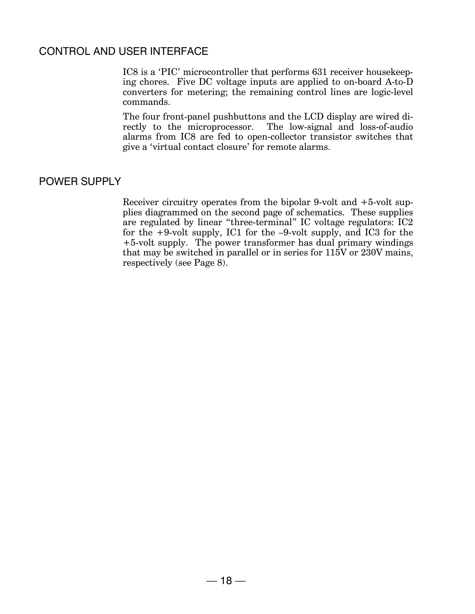#### CONTROL AND USER INTERFACE

IC8 is a 'PIC' microcontroller that performs 631 receiver housekeeping chores. Five DC voltage inputs are applied to on-board A-to-D converters for metering; the remaining control lines are logic-level commands.

The four front-panel pushbuttons and the LCD display are wired directly to the microprocessor. The low-signal and loss-of-audio alarms from IC8 are fed to open-collector transistor switches that give a 'virtual contact closure' for remote alarms.

#### POWER SUPPLY

Receiver circuitry operates from the bipolar 9-volt and +5-volt supplies diagrammed on the second page of schematics. These supplies are regulated by linear "three-terminal" IC voltage regulators: IC2 for the +9-volt supply, IC1 for the –9-volt supply, and IC3 for the +5-volt supply. The power transformer has dual primary windings that may be switched in parallel or in series for 115V or 230V mains, respectively (see Page 8).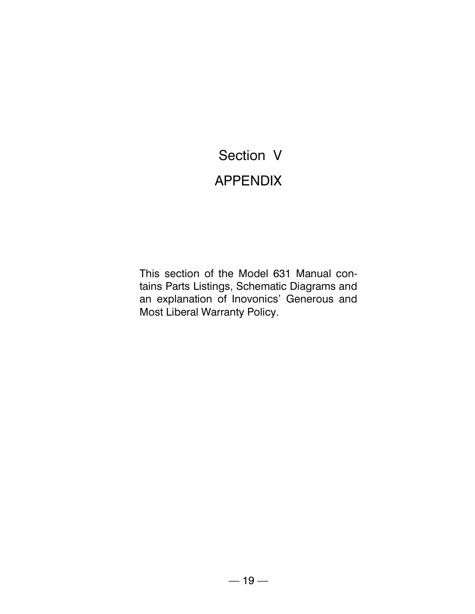## Section V **APPENDIX**

This section of the Model 631 Manual contains Parts Listings, Schematic Diagrams and an explanation of Inovonics' Generous and Most Liberal Warranty Policy.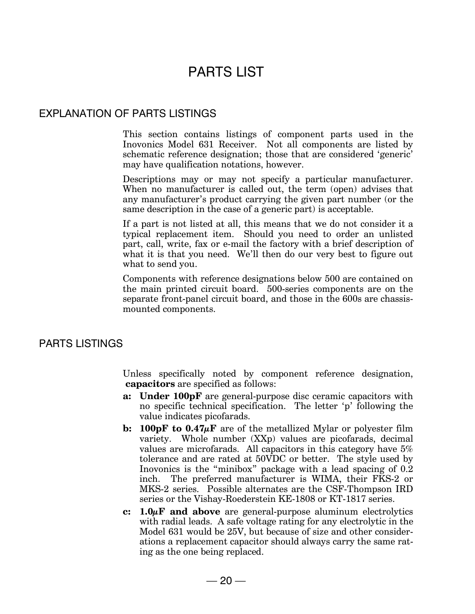## PARTS LIST

#### EXPLANATION OF PARTS LISTINGS

This section contains listings of component parts used in the Inovonics Model 631 Receiver. Not all components are listed by schematic reference designation; those that are considered 'generic' may have qualification notations, however.

Descriptions may or may not specify a particular manufacturer. When no manufacturer is called out, the term (open) advises that any manufacturer's product carrying the given part number (or the same description in the case of a generic part) is acceptable.

If a part is not listed at all, this means that we do not consider it a typical replacement item. Should you need to order an unlisted part, call, write, fax or e-mail the factory with a brief description of what it is that you need. We'll then do our very best to figure out what to send you.

Components with reference designations below 500 are contained on the main printed circuit board. 500-series components are on the separate front-panel circuit board, and those in the 600s are chassismounted components.

#### PARTS LISTINGS

Unless specifically noted by component reference designation, **capacitors** are specified as follows:

- **a: Under 100pF** are general-purpose disc ceramic capacitors with no specific technical specification. The letter 'p' following the value indicates picofarads.
- **b:** 100pF to  $0.47\mu$ F are of the metallized Mylar or polyester film variety. Whole number (XXp) values are picofarads, decimal values are microfarads. All capacitors in this category have 5% tolerance and are rated at 50VDC or better. The style used by Inovonics is the "minibox" package with a lead spacing of 0.2 inch. The preferred manufacturer is WIMA, their FKS-2 or MKS-2 series. Possible alternates are the CSF-Thompson IRD series or the Vishay-Roederstein KE-1808 or KT-1817 series.
- **c: 1.0µF and above** are general-purpose aluminum electrolytics with radial leads. A safe voltage rating for any electrolytic in the Model 631 would be 25V, but because of size and other considerations a replacement capacitor should always carry the same rating as the one being replaced.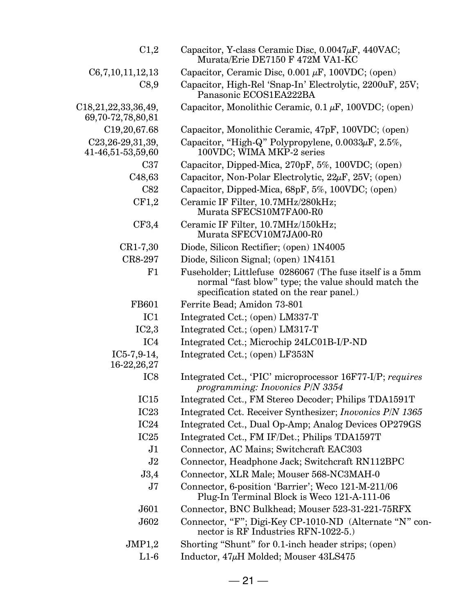| C <sub>1,2</sub>                                           | Capacitor, Y-class Ceramic Disc, $0.0047\mu$ F, $440$ VAC;<br>Murata/Erie DE7150 F 472M VA1-KC                                                              |
|------------------------------------------------------------|-------------------------------------------------------------------------------------------------------------------------------------------------------------|
| C6,7,10,11,12,13                                           | Capacitor, Ceramic Disc, $0.001 \mu F$ , $100 \text{VDC}$ ; (open)                                                                                          |
| C8,9                                                       | Capacitor, High-Rel 'Snap-In' Electrolytic, 2200uF, 25V;<br>Panasonic ECOS1EA222BA                                                                          |
| C <sub>18</sub> , 21, 22, 33, 36, 49,<br>69,70-72,78,80,81 | Capacitor, Monolithic Ceramic, $0.1 \mu$ F, 100VDC; (open)                                                                                                  |
| C <sub>19</sub> , 20, 67.68                                | Capacitor, Monolithic Ceramic, 47pF, 100VDC; (open)                                                                                                         |
| C23, 26-29, 31, 39,<br>41-46,51-53,59,60                   | Capacitor, "High-Q" Polypropylene, $0.0033\mu$ F, $2.5\%$ ,<br>100VDC; WIMA MKP-2 series                                                                    |
| C37                                                        | Capacitor, Dipped-Mica, 270pF, 5%, 100VDC; (open)                                                                                                           |
| C <sub>48</sub> ,63                                        | Capacitor, Non-Polar Electrolytic, $22\mu$ F, $25V$ ; (open)                                                                                                |
| C82                                                        | Capacitor, Dipped-Mica, 68pF, 5%, 100VDC; (open)                                                                                                            |
| CF1.2                                                      | Ceramic IF Filter, 10.7MHz/280kHz;<br>Murata SFECS10M7FA00-R0                                                                                               |
| CF3,4                                                      | Ceramic IF Filter, 10.7MHz/150kHz;<br>Murata SFECV10M7JA00-R0                                                                                               |
| CR1-7,30                                                   | Diode, Silicon Rectifier; (open) 1N4005                                                                                                                     |
| CR8-297                                                    | Diode, Silicon Signal; (open) 1N4151                                                                                                                        |
| F1                                                         | Fuseholder; Littlefuse 0286067 (The fuse itself is a 5mm<br>normal "fast blow" type; the value should match the<br>specification stated on the rear panel.) |
| FB601                                                      | Ferrite Bead; Amidon 73-801                                                                                                                                 |
| IC <sub>1</sub>                                            | Integrated Cct.; (open) LM337-T                                                                                                                             |
| IC2,3                                                      | Integrated Cct.; (open) LM317-T                                                                                                                             |
| IC4                                                        | Integrated Cct.; Microchip 24LC01B-I/P-ND                                                                                                                   |
| $IC5-7,9-14,$<br>16-22, 26, 27                             | Integrated Cct.; (open) LF353N                                                                                                                              |
| IC <sub>8</sub>                                            | Integrated Cct., 'PIC' microprocessor 16F77-I/P; requires<br>programming: Inovonics P/N 3354                                                                |
| IC15                                                       | Integrated Cct., FM Stereo Decoder; Philips TDA1591T                                                                                                        |
| IC <sub>23</sub>                                           | Integrated Cct. Receiver Synthesizer; Inovonics P/N 1365                                                                                                    |
| IC24                                                       | Integrated Cct., Dual Op-Amp; Analog Devices OP279GS                                                                                                        |
| IC25                                                       | Integrated Cct., FM IF/Det.; Philips TDA1597T                                                                                                               |
| J1                                                         | Connector, AC Mains; Switchcraft EAC303                                                                                                                     |
| J2                                                         | Connector, Headphone Jack; Switchcraft RN112BPC                                                                                                             |
| J3,4                                                       | Connector, XLR Male; Mouser 568-NC3MAH-0                                                                                                                    |
| J7                                                         | Connector, 6-position 'Barrier'; Weco 121-M-211/06<br>Plug-In Terminal Block is Weco 121-A-111-06                                                           |
| J601                                                       | Connector, BNC Bulkhead; Mouser 523-31-221-75RFX                                                                                                            |
| J602                                                       | Connector, "F"; Digi-Key CP-1010-ND (Alternate "N" con-<br>nector is RF Industries RFN-1022-5.)                                                             |
| JMP1,2                                                     | Shorting "Shunt" for 0.1-inch header strips; (open)                                                                                                         |
| $L1-6$                                                     | Inductor, $47\mu$ H Molded; Mouser $43LS475$                                                                                                                |
|                                                            |                                                                                                                                                             |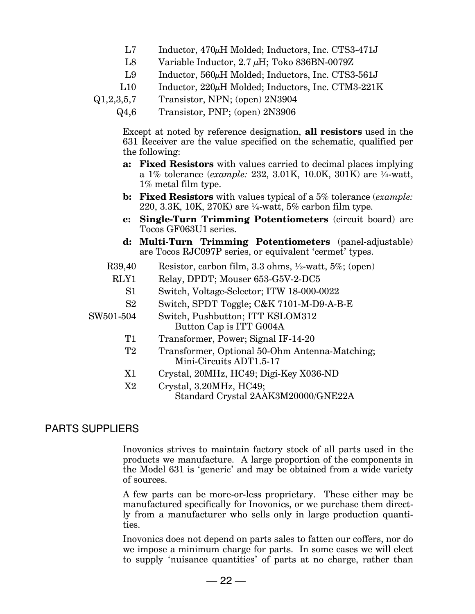- L7 Inductor, 470 $\mu$ H Molded; Inductors, Inc. CTS3-471J
- L8 Variable Inductor,  $2.7 \mu$ H; Toko 836BN-0079Z
- L9 Inductor, 560 $\mu$ H Molded; Inductors, Inc. CTS3-561J
- L10 Inductor, 220µH Molded; Inductors, Inc. CTM3-221K
- Q1,2,3,5,7 Transistor, NPN; (open) 2N3904
	- Q4,6 Transistor, PNP; (open) 2N3906

Except at noted by reference designation, **all resistors** used in the 631 Receiver are the value specified on the schematic, qualified per the following:

- **a: Fixed Resistors** with values carried to decimal places implying a 1% tolerance (*example:* 232, 3.01K, 10.0K, 301K) are ¼-watt, 1% metal film type.
- **b: Fixed Resistors** with values typical of a 5% tolerance (*example:* 220, 3.3K, 10K, 270K) are ¼-watt, 5% carbon film type.
- **c: Single-Turn Trimming Potentiometers** (circuit board) are Tocos GF063U1 series.
- **d: Multi-Turn Trimming Potentiometers** (panel-adjustable) are Tocos RJC097P series, or equivalent 'cermet' types.
- R39,40 Resistor, carbon film, 3.3 ohms, ½-watt, 5%; (open)
	- RLY1 Relay, DPDT; Mouser 653-G5V-2-DC5
		- S1 Switch, Voltage-Selector; ITW 18-000-0022
		- S2 Switch, SPDT Toggle; C&K 7101-M-D9-A-B-E
- SW501-504 Switch, Pushbutton; ITT KSLOM312 Button Cap is ITT G004A
	- T1 Transformer, Power; Signal IF-14-20
	- T2 Transformer, Optional 50-Ohm Antenna-Matching; Mini-Circuits ADT1.5-17
	- X1 Crystal, 20MHz, HC49; Digi-Key X036-ND
	- X2 Crystal, 3.20MHz, HC49; Standard Crystal 2AAK3M20000/GNE22A

#### PARTS SUPPLIERS

Inovonics strives to maintain factory stock of all parts used in the products we manufacture. A large proportion of the components in the Model 631 is 'generic' and may be obtained from a wide variety of sources.

A few parts can be more-or-less proprietary. These either may be manufactured specifically for Inovonics, or we purchase them directly from a manufacturer who sells only in large production quantities.

Inovonics does not depend on parts sales to fatten our coffers, nor do we impose a minimum charge for parts. In some cases we will elect to supply 'nuisance quantities' of parts at no charge, rather than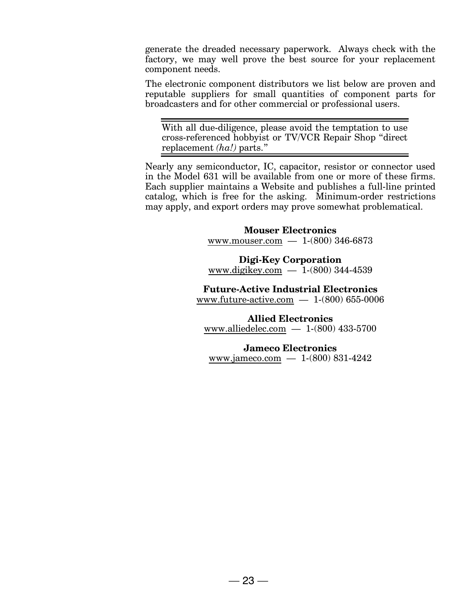generate the dreaded necessary paperwork. Always check with the factory, we may well prove the best source for your replacement component needs.

The electronic component distributors we list below are proven and reputable suppliers for small quantities of component parts for broadcasters and for other commercial or professional users.

With all due-diligence, please avoid the temptation to use cross-referenced hobbyist or TV/VCR Repair Shop "direct replacement *(ha!)* parts."

Nearly any semiconductor, IC, capacitor, resistor or connector used in the Model 631 will be available from one or more of these firms. Each supplier maintains a Website and publishes a full-line printed catalog, which is free for the asking. Minimum-order restrictions may apply, and export orders may prove somewhat problematical.

#### **Mouser Electronics** www.mouser.com — 1-(800) 346-6873

**Digi-Key Corporation** www.digikey.com  $-1$ -(800) 344-4539

**Future-Active Industrial Electronics** www.future-active.com — 1-(800) 655-0006

**Allied Electronics** www.alliedelec.com — 1-(800) 433-5700

**Jameco Electronics** www.jameco.com — 1-(800) 831-4242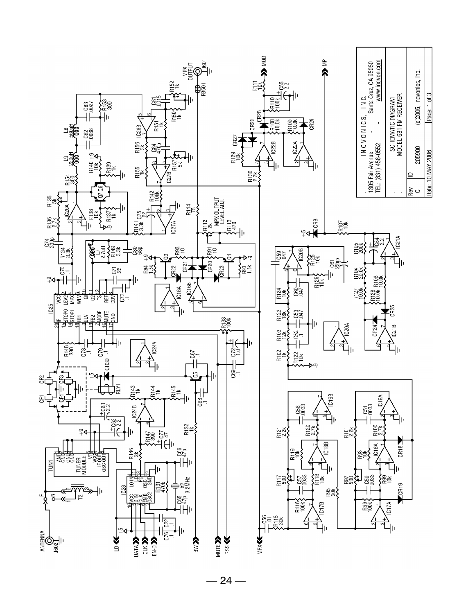

 $-24-$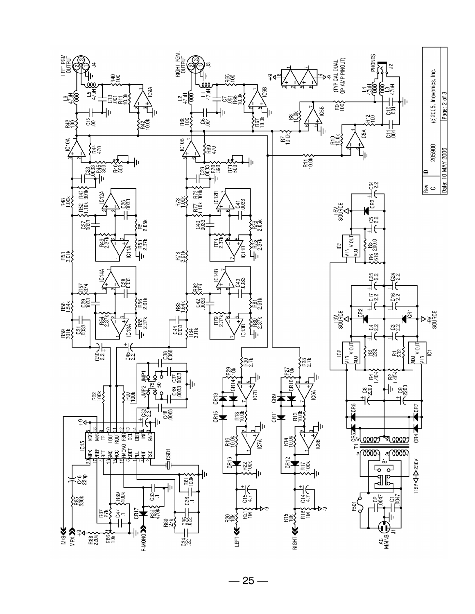

 $-25-$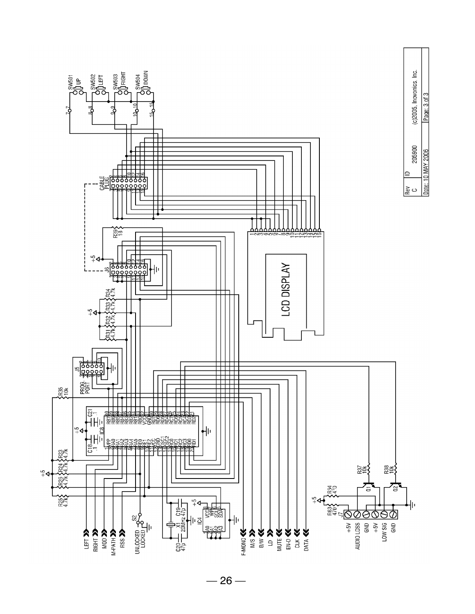

 $-26-$